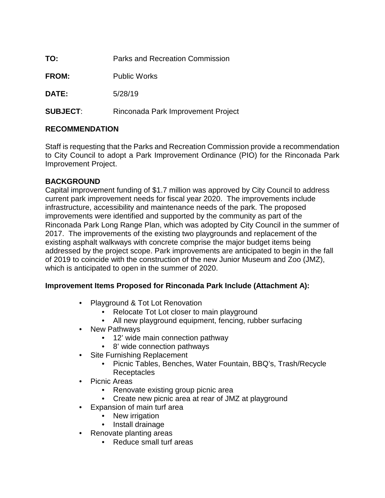| TO:             | Parks and Recreation Commission    |
|-----------------|------------------------------------|
| <b>FROM:</b>    | <b>Public Works</b>                |
| <b>DATE:</b>    | 5/28/19                            |
| <b>SUBJECT:</b> | Rinconada Park Improvement Project |

## **RECOMMENDATION**

Staff is requesting that the Parks and Recreation Commission provide a recommendation to City Council to adopt a Park Improvement Ordinance (PIO) for the Rinconada Park Improvement Project.

## **BACKGROUND**

Capital improvement funding of \$1.7 million was approved by City Council to address current park improvement needs for fiscal year 2020. The improvements include infrastructure, accessibility and maintenance needs of the park. The proposed improvements were identified and supported by the community as part of the Rinconada Park Long Range Plan, which was adopted by City Council in the summer of 2017. The improvements of the existing two playgrounds and replacement of the existing asphalt walkways with concrete comprise the major budget items being addressed by the project scope. Park improvements are anticipated to begin in the fall of 2019 to coincide with the construction of the new Junior Museum and Zoo (JMZ), which is anticipated to open in the summer of 2020.

## **Improvement Items Proposed for Rinconada Park Include (Attachment A):**

- Playground & Tot Lot Renovation
	- Relocate Tot Lot closer to main playground
	- All new playground equipment, fencing, rubber surfacing
- New Pathways
	- 12' wide main connection pathway
	- 8' wide connection pathways
- Site Furnishing Replacement
	- Picnic Tables, Benches, Water Fountain, BBQ's, Trash/Recycle
	- **Receptacles**
- Picnic Areas
	- Renovate existing group picnic area
	- Create new picnic area at rear of JMZ at playground
- Expansion of main turf area
	- New irrigation
	- Install drainage
- Renovate planting areas
	- Reduce small turf areas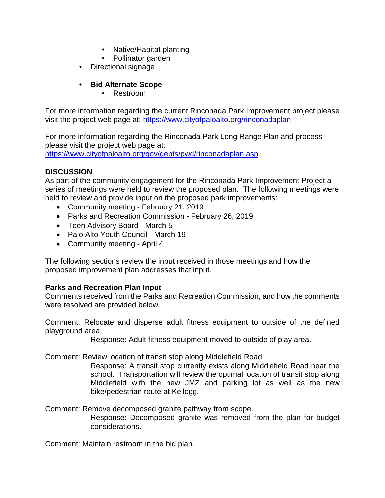- Native/Habitat planting
- Pollinator garden
- Directional signage

## • **Bid Alternate Scope**

• Restroom

For more information regarding the current Rinconada Park Improvement project please visit the project web page at:<https://www.cityofpaloalto.org/rinconadaplan>

For more information regarding the Rinconada Park Long Range Plan and process please visit the project web page at: <https://www.cityofpaloalto.org/gov/depts/pwd/rinconadaplan.asp>

### **DISCUSSION**

As part of the community engagement for the Rinconada Park Improvement Project a series of meetings were held to review the proposed plan. The following meetings were held to review and provide input on the proposed park improvements:

- Community meeting February 21, 2019
- Parks and Recreation Commission February 26, 2019
- Teen Advisory Board March 5
- Palo Alto Youth Council March 19
- Community meeting April 4

The following sections review the input received in those meetings and how the proposed improvement plan addresses that input.

### **Parks and Recreation Plan Input**

Comments received from the Parks and Recreation Commission, and how the comments were resolved are provided below.

Comment: Relocate and disperse adult fitness equipment to outside of the defined playground area.

Response: Adult fitness equipment moved to outside of play area.

Comment: Review location of transit stop along Middlefield Road

Response: A transit stop currently exists along Middlefield Road near the school. Transportation will review the optimal location of transit stop along Middlefield with the new JMZ and parking lot as well as the new bike/pedestrian route at Kellogg.

Comment: Remove decomposed granite pathway from scope.

Response: Decomposed granite was removed from the plan for budget considerations.

Comment: Maintain restroom in the bid plan.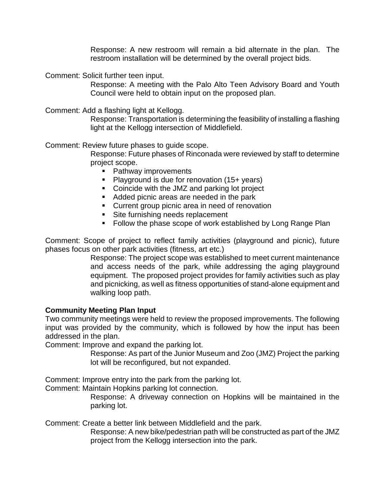Response: A new restroom will remain a bid alternate in the plan. The restroom installation will be determined by the overall project bids.

Comment: Solicit further teen input.

Response: A meeting with the Palo Alto Teen Advisory Board and Youth Council were held to obtain input on the proposed plan.

Comment: Add a flashing light at Kellogg.

Response: Transportation is determining the feasibility of installing a flashing light at the Kellogg intersection of Middlefield.

Comment: Review future phases to guide scope.

Response: Future phases of Rinconada were reviewed by staff to determine project scope.

- Pathway improvements
- **Playground is due for renovation (15+ years)**
- Coincide with the JMZ and parking lot project
- Added picnic areas are needed in the park
- **Current group picnic area in need of renovation**
- Site furnishing needs replacement
- **Follow the phase scope of work established by Long Range Plan**

Comment: Scope of project to reflect family activities (playground and picnic), future phases focus on other park activities (fitness, art etc.)

> Response: The project scope was established to meet current maintenance and access needs of the park, while addressing the aging playground equipment. The proposed project provides for family activities such as play and picnicking, as well as fitness opportunities of stand-alone equipment and walking loop path.

#### **Community Meeting Plan Input**

Two community meetings were held to review the proposed improvements. The following input was provided by the community, which is followed by how the input has been addressed in the plan.

Comment: Improve and expand the parking lot.

Response: As part of the Junior Museum and Zoo (JMZ) Project the parking lot will be reconfigured, but not expanded.

Comment: Improve entry into the park from the parking lot.

Comment: Maintain Hopkins parking lot connection.

Response: A driveway connection on Hopkins will be maintained in the parking lot.

Comment: Create a better link between Middlefield and the park.

Response: A new bike/pedestrian path will be constructed as part of the JMZ project from the Kellogg intersection into the park.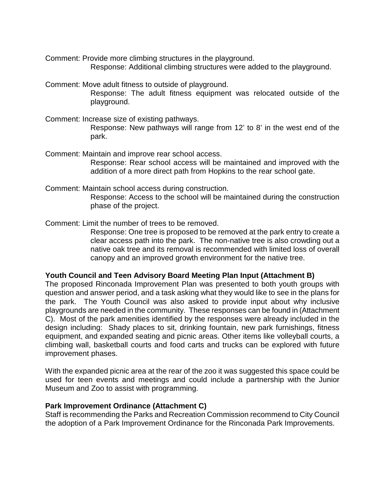Comment: Provide more climbing structures in the playground.

Response: Additional climbing structures were added to the playground.

Comment: Move adult fitness to outside of playground.

Response: The adult fitness equipment was relocated outside of the playground.

Comment: Increase size of existing pathways.

Response: New pathways will range from 12' to 8' in the west end of the park.

Comment: Maintain and improve rear school access. Response: Rear school access will be maintained and improved with the addition of a more direct path from Hopkins to the rear school gate.

Comment: Maintain school access during construction. Response: Access to the school will be maintained during the construction phase of the project.

Comment: Limit the number of trees to be removed.

Response: One tree is proposed to be removed at the park entry to create a clear access path into the park. The non-native tree is also crowding out a native oak tree and its removal is recommended with limited loss of overall canopy and an improved growth environment for the native tree.

### **Youth Council and Teen Advisory Board Meeting Plan Input (Attachment B)**

The proposed Rinconada Improvement Plan was presented to both youth groups with question and answer period, and a task asking what they would like to see in the plans for the park. The Youth Council was also asked to provide input about why inclusive playgrounds are needed in the community. These responses can be found in (Attachment C). Most of the park amenities identified by the responses were already included in the design including: Shady places to sit, drinking fountain, new park furnishings, fitness equipment, and expanded seating and picnic areas. Other items like volleyball courts, a climbing wall, basketball courts and food carts and trucks can be explored with future improvement phases.

With the expanded picnic area at the rear of the zoo it was suggested this space could be used for teen events and meetings and could include a partnership with the Junior Museum and Zoo to assist with programming.

### **Park Improvement Ordinance (Attachment C)**

Staff is recommending the Parks and Recreation Commission recommend to City Council the adoption of a Park Improvement Ordinance for the Rinconada Park Improvements.